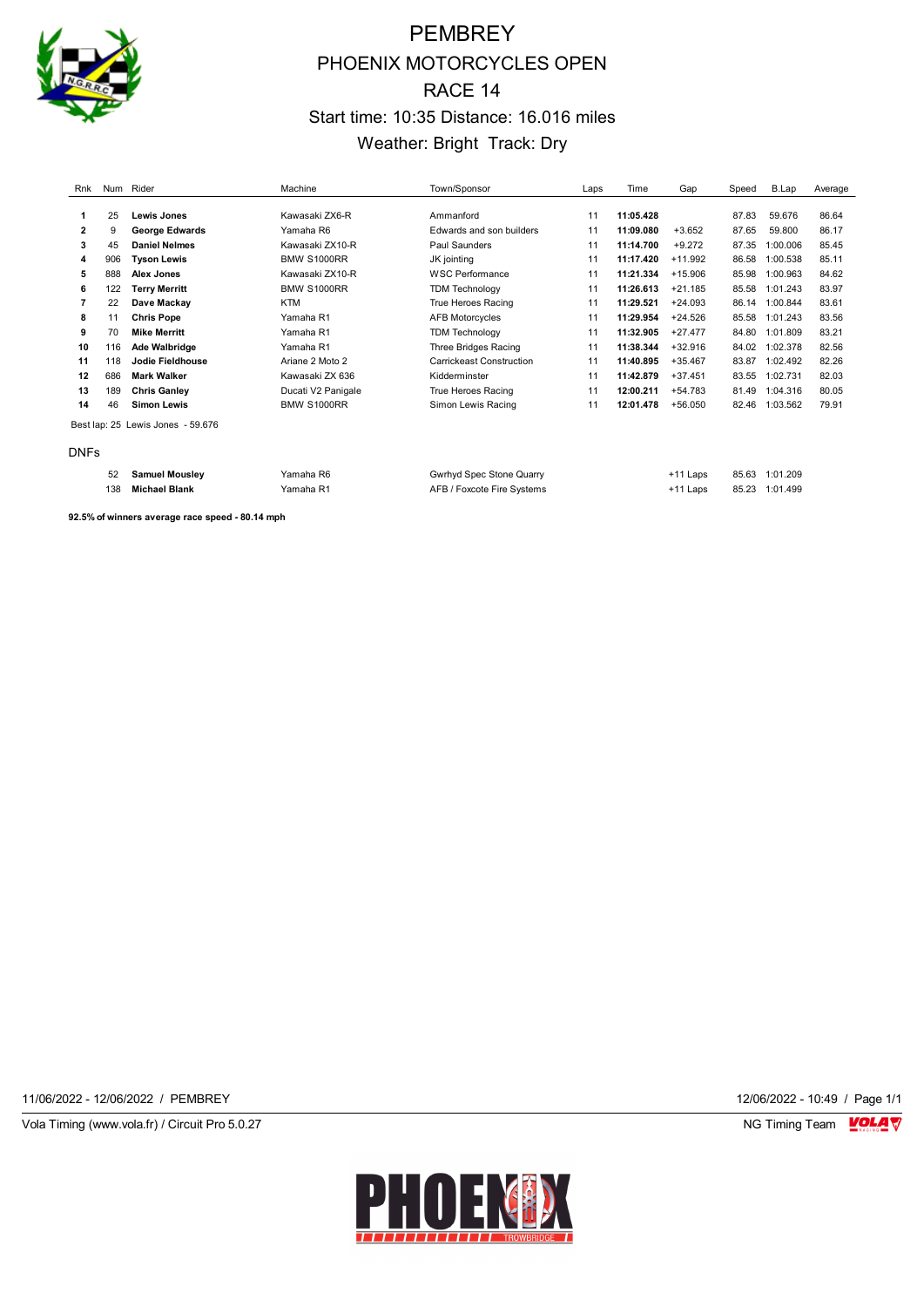

# PEMBREY PHOENIX MOTORCYCLES OPEN RACE 14 Start time: 10:35 Distance: 16.016 miles Weather: Bright Track: Dry

| Rnk          | Num | Rider                             | Machine            | Town/Sponsor             | Laps | Time      | Gap        | Speed | B.Lap    | Average |
|--------------|-----|-----------------------------------|--------------------|--------------------------|------|-----------|------------|-------|----------|---------|
|              |     |                                   |                    |                          |      |           |            |       |          |         |
|              | 25  | <b>Lewis Jones</b>                | Kawasaki ZX6-R     | Ammanford                | 11   | 11:05.428 |            | 87.83 | 59.676   | 86.64   |
| $\mathbf{2}$ | 9   | <b>George Edwards</b>             | Yamaha R6          | Edwards and son builders | 11   | 11:09.080 | $+3.652$   | 87.65 | 59,800   | 86.17   |
| 3            | 45  | <b>Daniel Nelmes</b>              | Kawasaki ZX10-R    | Paul Saunders            | 11   | 11:14.700 | $+9.272$   | 87.35 | 1:00.006 | 85.45   |
| 4            | 906 | <b>Tyson Lewis</b>                | <b>BMW S1000RR</b> | JK jointing              | 11   | 11:17.420 | $+11.992$  | 86.58 | 1:00.538 | 85.11   |
| 5            | 888 | Alex Jones                        | Kawasaki ZX10-R    | <b>WSC Performance</b>   | 11   | 11:21.334 | $+15.906$  | 85.98 | 1:00.963 | 84.62   |
| 6            | 122 | <b>Terry Merritt</b>              | <b>BMW S1000RR</b> | <b>TDM Technology</b>    | 11   | 11:26.613 | $+21.185$  | 85.58 | 1:01.243 | 83.97   |
|              | 22  | Dave Mackay                       | <b>KTM</b>         | True Heroes Racing       | 11   | 11:29.521 | $+24.093$  | 86.14 | 1:00.844 | 83.61   |
| 8            | 11  | <b>Chris Pope</b>                 | Yamaha R1          | <b>AFB Motorcycles</b>   | 11   | 11:29.954 | $+24.526$  | 85.58 | 1:01.243 | 83.56   |
| 9            | 70  | <b>Mike Merritt</b>               | Yamaha R1          | <b>TDM Technology</b>    | 11   | 11:32.905 | $+27.477$  | 84.80 | 1:01.809 | 83.21   |
| 10           | 116 | Ade Walbridge                     | Yamaha R1          | Three Bridges Racing     | 11   | 11:38.344 | $+32.916$  | 84.02 | 1:02.378 | 82.56   |
| 11           | 118 | Jodie Fieldhouse                  | Ariane 2 Moto 2    | Carrickeast Construction | 11   | 11:40.895 | $+35.467$  | 83.87 | 1:02.492 | 82.26   |
| 12           | 686 | <b>Mark Walker</b>                | Kawasaki ZX 636    | Kidderminster            | 11   | 11:42.879 | $+37.451$  | 83.55 | 1:02.731 | 82.03   |
| 13           | 189 | <b>Chris Ganley</b>               | Ducati V2 Panigale | True Heroes Racing       | 11   | 12:00.211 | $+54.783$  | 81.49 | 1:04.316 | 80.05   |
| 14           | 46  | <b>Simon Lewis</b>                | BMW S1000RR        | Simon Lewis Racing       | 11   | 12:01.478 | $+56.050$  | 82.46 | 1:03.562 | 79.91   |
|              |     | Best lap: 25 Lewis Jones - 59.676 |                    |                          |      |           |            |       |          |         |
| <b>DNFs</b>  |     |                                   |                    |                          |      |           |            |       |          |         |
|              | 52  | <b>Samuel Mouslev</b>             | Yamaha R6          | Gwrhyd Spec Stone Quarry |      |           | $+11$ Laps | 85.63 | 1:01.209 |         |

| ےر  | <b>PRILICE MOUSE</b>      | ι απιαπα τνυ | Gwrriyd Opec Olorie Quarry                                                                                                                    | II Laus  | ບບ.ບບ<br>----- | 1. U 1. ZUJ |
|-----|---------------------------|--------------|-----------------------------------------------------------------------------------------------------------------------------------------------|----------|----------------|-------------|
| 138 | <b>Michael Blank</b><br>. | Yamaha R1    | AFB / Foxcote Fire Systems<br>the contract of the contract of the contract of the contract of the contract of the contract of the contract of | +11 Laps | 85.23<br>.     | 1:01.499    |
|     |                           |              |                                                                                                                                               |          |                |             |

**92.5% of winners average race speed - 80.14 mph**

11/06/2022 - 12/06/2022 / PEMBREY 12/06/2022 - 10:49 / Page 1/1

Vola Timing (www.vola.fr) / Circuit Pro 5.0.27 NG Timing Team MC Timing Team MC Timing Team M

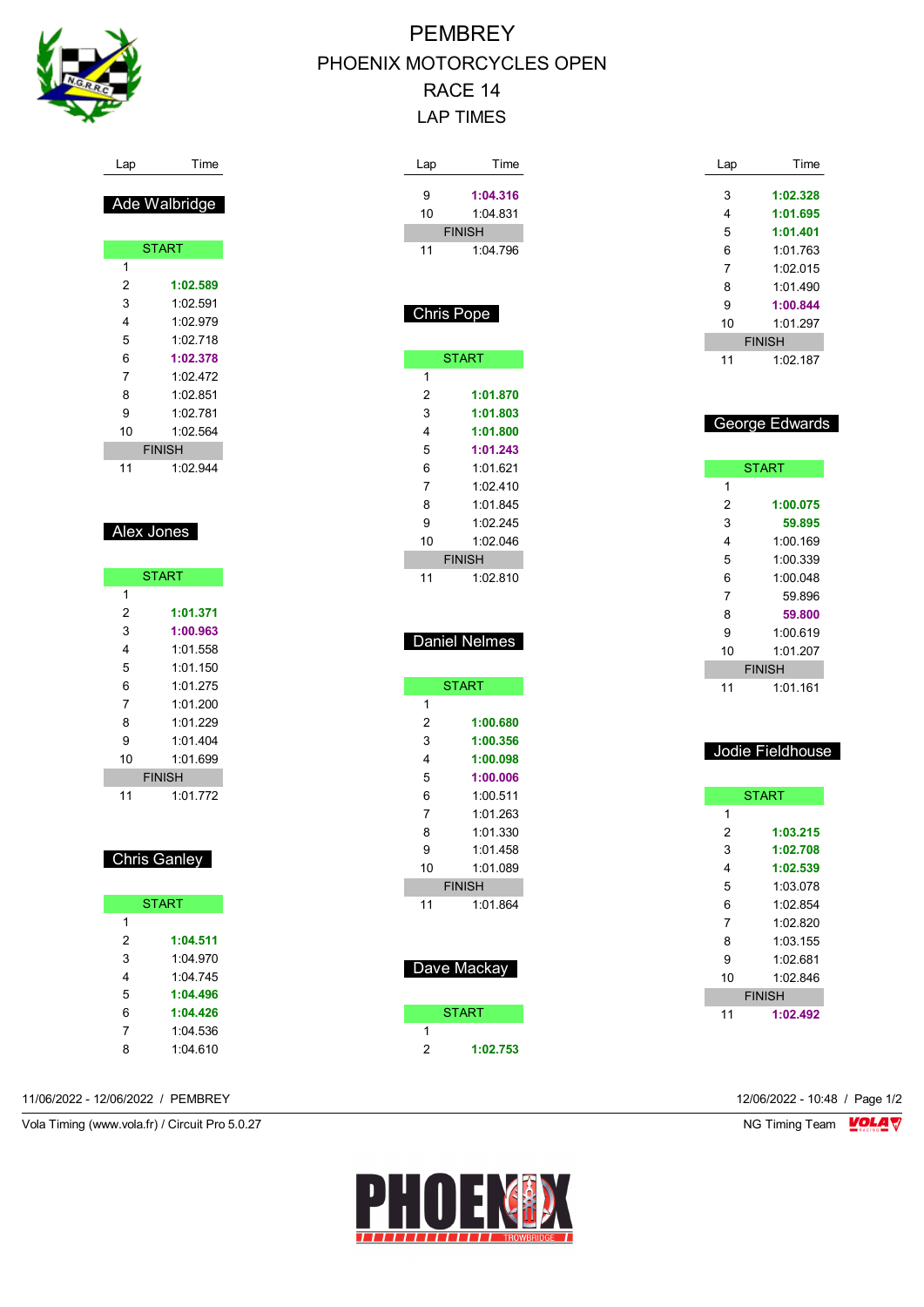

#### Lap Time

### Ade Walbridge

|    | <b>START</b>  |
|----|---------------|
| 1  |               |
| 2  | 1:02.589      |
| 3  | 1:02.591      |
| 4  | 1.02.979      |
| 5  | 1.02 718      |
| 6  | 1:02.378      |
| 7  | 1:02 472      |
| 8  | 1:02 851      |
| 9  | 1.02 781      |
| 10 | 1.02.564      |
|    | <b>FINISH</b> |
| 11 | 1:02.944      |

### Alex Jones

|    | <b>START</b>  |
|----|---------------|
| 1  |               |
| 2  | 1:01.371      |
| 3  | 1:00.963      |
| 4  | 1:01 558      |
| 5  | 1:01.150      |
| 6  | 1.01.275      |
| 7  | 1:01 200      |
| 8  | 1:01.229      |
| 9  | 1.01404       |
| 10 | 1:01.699      |
|    | <b>FINISH</b> |
| 11 | 1.01 772      |

### Chris Ganley

| <b>START</b> |          |  |  |  |
|--------------|----------|--|--|--|
| 1            |          |  |  |  |
| 2            | 1:04.511 |  |  |  |
| 3            | 1:04 970 |  |  |  |
| 4            | 1:04 745 |  |  |  |
| 5            | 1:04.496 |  |  |  |
| 6            | 1:04.426 |  |  |  |
| 7            | 1:04 536 |  |  |  |
| 8            | 1:04 610 |  |  |  |

11/06/2022 - 12/06/2022 / PEMBREY 12/06/2022 - 10:48 / Page 1/2

Vola Timing (www.vola.fr) / Circuit Pro 5.0.27 NG Timing Team VOLA V

# PEMBREY PHOENIX MOTORCYCLES OPEN RACE 14 LAP TIMES

| Lap        | Time          |
|------------|---------------|
| 9          | 1:04.316      |
| 10         | 1:04.831      |
|            | <b>FINISH</b> |
| 11         | 1:04.796      |
|            |               |
|            |               |
|            |               |
| Chris Pope |               |
|            |               |
|            | <b>START</b>  |
| 1          |               |
| 2          | 1:01.870      |
| 3          | 1:01.803      |
| 4          | 1:01.800      |
| 5          | 1:01.243      |
| 6          | 1:01.621      |
| 7          | 1:02.410      |
| 8          | 1:01.845      |
| 9          | 1:02.245      |
| 10         | 1:02.046      |
|            | <b>FINISH</b> |
| 11         | 1:02.810      |
|            |               |
|            |               |
|            | Daniel Nelmes |
|            |               |
|            | <b>START</b>  |
| 1          |               |
| 2          | 1:00.680      |
| 3          | 1:00.356      |
| 4          | 1:00.098      |
| 5          | 1:00.006      |
| 6          | 1:00.511      |
| 7          | 1:01.263      |
| 8          | 1:01.330      |
| 9          | 1:01.458      |
| 10         | 1:01.089      |
|            | <b>FINISH</b> |
|            | 1:01.864      |
| 11         |               |
|            |               |
|            |               |
|            |               |
|            | Dave Mackay   |
|            | <b>START</b>  |

 **1:02.753**

| Lap | Time          |
|-----|---------------|
| 3   | 1:02.328      |
| 4   | 1:01.695      |
| 5   | 1:01.401      |
| 6   | 1:01 763      |
| 7   | 1:02 015      |
| 8   | 1:01.490      |
| 9   | 1:00.844      |
| 10  | 1:01 297      |
|     | <b>FINISH</b> |
| 11  | 1:02 187      |

### George Edwards

|    | <b>START</b>  |
|----|---------------|
| 1  |               |
| 2  | 1:00.075      |
| 3  | 59.895        |
| 4  | 1:00.169      |
| 5  | 1:00.339      |
| 6  | 1.000048      |
| 7  | 59.896        |
| 8  | 59.800        |
| 9  | 1:00 619      |
| 10 | 1:01.207      |
|    | <b>FINISH</b> |
| 11 | 1:01.161      |

#### Jodie Fieldhouse

|               | <b>START</b> |  |
|---------------|--------------|--|
| 1             |              |  |
| 2             | 1:03.215     |  |
| 3             | 1:02.708     |  |
| 4             | 1:02.539     |  |
| 5             | 1:03.078     |  |
| 6             | 1:02.854     |  |
| 7             | 1:02.820     |  |
| 8             | 1:03.155     |  |
| 9             | 1:02.681     |  |
| 10            | 1:02 846     |  |
| <b>FINISH</b> |              |  |
| 11            | 1:02.492     |  |

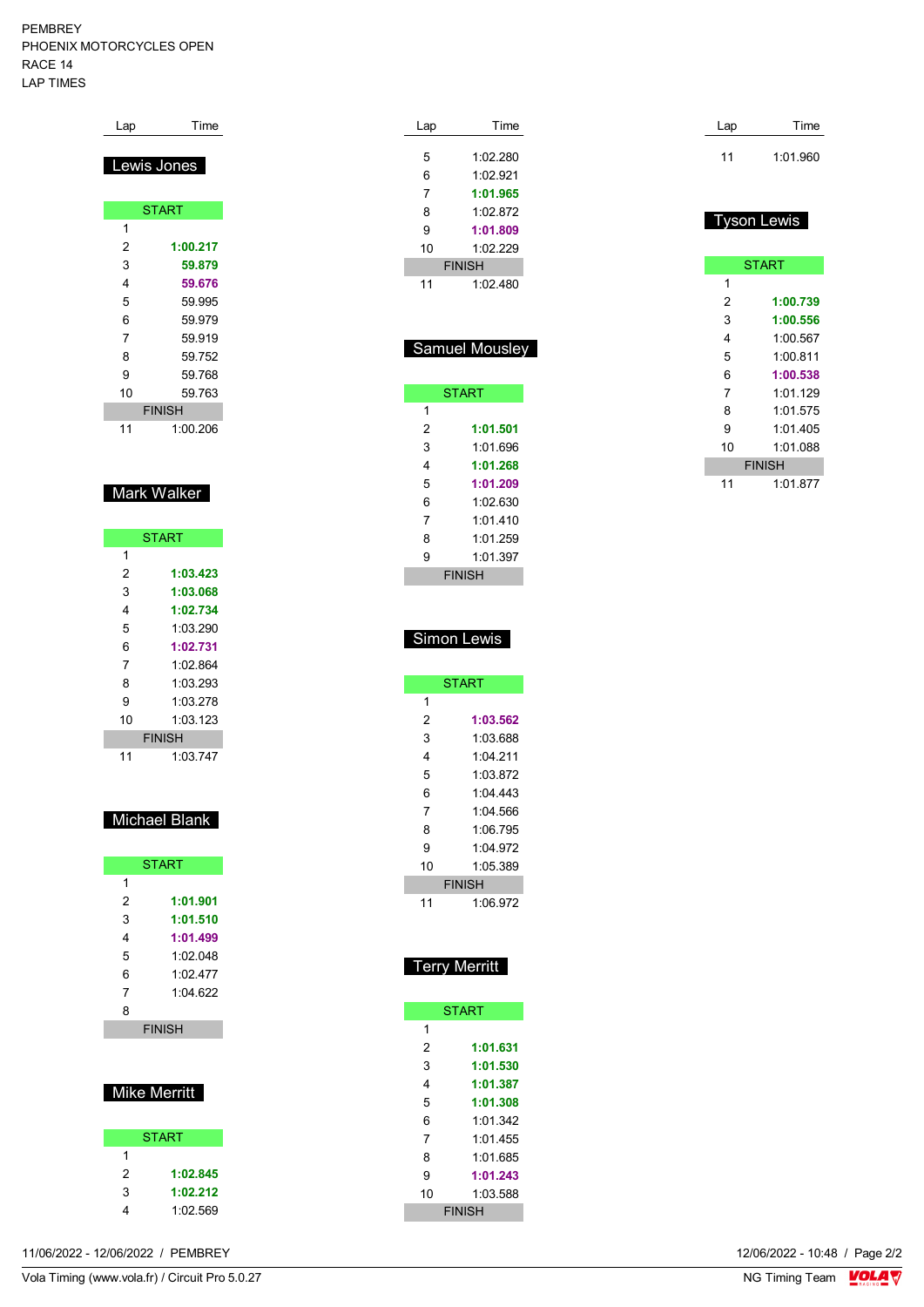#### PEMBREY PHOENIX MOTORCYCLES OPEN RACE 14 LAP TIMES

| Lap | Time          |
|-----|---------------|
|     | Lewis Jones   |
|     |               |
|     | <b>START</b>  |
| 1   |               |
| 2   | 1:00.217      |
| 3   | 59.879        |
| 4   | 59.676        |
| 5   | 59.995        |
| 6   | 59.979        |
| 7   | 59.919        |
| 8   | 59.752        |
| 9   | 59.768        |
| 10  | 59.763        |
|     | <b>FINISH</b> |
| 11  | 1:00.206      |

### Mark Walker

|    | <b>START</b>  |
|----|---------------|
| 1  |               |
| 2  | 1:03.423      |
| 3  | 1:03.068      |
| 4  | 1:02.734      |
| 5  | 1:03.290      |
| 6  | 1:02.731      |
| 7  | 1.02.864      |
| 8  | 1.03293       |
| 9  | 1:03.278      |
| 10 | 1:03.123      |
|    | <b>FINISH</b> |
| 11 | 1:03.747      |

## Michael Blank

|   | <b>START</b>  |
|---|---------------|
| 1 |               |
| 2 | 1:01.901      |
| 3 | 1:01.510      |
| 4 | 1:01.499      |
| 5 | 1:02.048      |
| 6 | 1.02 477      |
| 7 | 1.04622       |
| 8 |               |
|   | <b>FINISH</b> |

## Mike Merritt

|   | <b>START</b> |
|---|--------------|
| 1 |              |
| 2 | 1:02.845     |
| 3 | 1:02.212     |
| 4 | 1:02.569     |
|   |              |

| Lap | Time                  |
|-----|-----------------------|
|     |                       |
| 5   | 1:02.280              |
| 6   | 1:02.921              |
| 7   | 1:01.965              |
| 8   | 1:02.872              |
| 9   | 1:01.809              |
| 10  | 1:02.229              |
|     | <b>FINISH</b>         |
| 11  | 1:02.480              |
|     |                       |
|     |                       |
|     | <b>Samuel Mousley</b> |
|     |                       |
|     |                       |
|     | <b>START</b>          |
| 1   |                       |
| 2   | 1:01.501              |
| 3   | 1:01.696              |
| 4   | 1:01.268              |
| 5   | 1:01 209              |

| 2 | 1:01.501      |
|---|---------------|
| 3 | 1:01 696      |
| 4 | 1:01.268      |
| 5 | 1:01.209      |
| 6 | 1:02.630      |
| 7 | 1011410       |
| 8 | 1 01 259      |
| 9 | 1:01.397      |
|   | <b>FINISH</b> |

### Simon Lewis

| <b>START</b>  |          |  |  |  |  |
|---------------|----------|--|--|--|--|
| 1             |          |  |  |  |  |
| 2             | 1:03.562 |  |  |  |  |
| 3             | 1:03.688 |  |  |  |  |
| 4             | 1 04 211 |  |  |  |  |
| 5             | 1:03.872 |  |  |  |  |
| 6             | 1:04:443 |  |  |  |  |
| 7             | 1:04.566 |  |  |  |  |
| 8             | 1:06.795 |  |  |  |  |
| 9             | 1:04.972 |  |  |  |  |
| 10            | 1:05.389 |  |  |  |  |
| <b>FINISH</b> |          |  |  |  |  |
| 11            | 1:06.972 |  |  |  |  |

## Terry Merritt

|               | <b>START</b> |  |  |  |
|---------------|--------------|--|--|--|
| 1             |              |  |  |  |
| 2             | 1:01.631     |  |  |  |
| 3             | 1:01.530     |  |  |  |
| 4             | 1:01.387     |  |  |  |
| 5             | 1:01.308     |  |  |  |
| 6             | 1:01.342     |  |  |  |
| 7             | 1.01455      |  |  |  |
| 8             | 1.01685      |  |  |  |
| 9             | 1:01.243     |  |  |  |
| 10            | 1:03.588     |  |  |  |
| <b>FINISH</b> |              |  |  |  |

| Lap | Time     |  |
|-----|----------|--|
| 11  | 1:01.960 |  |

### Tyson Lewis

|    | <b>START</b>  |
|----|---------------|
| 1  |               |
| 2  | 1:00.739      |
| 3  | 1:00.556      |
| 4  | 1:00.567      |
| 5  | 1:00.811      |
| 6  | 1:00.538      |
| 7  | 1:01.129      |
| 8  | 1:01.575      |
| 9  | 1:01 405      |
| 10 | 1:01 088      |
|    | <b>FINISH</b> |
| 11 | 1:01.877      |

11/06/2022 - 12/06/2022 / PEMBREY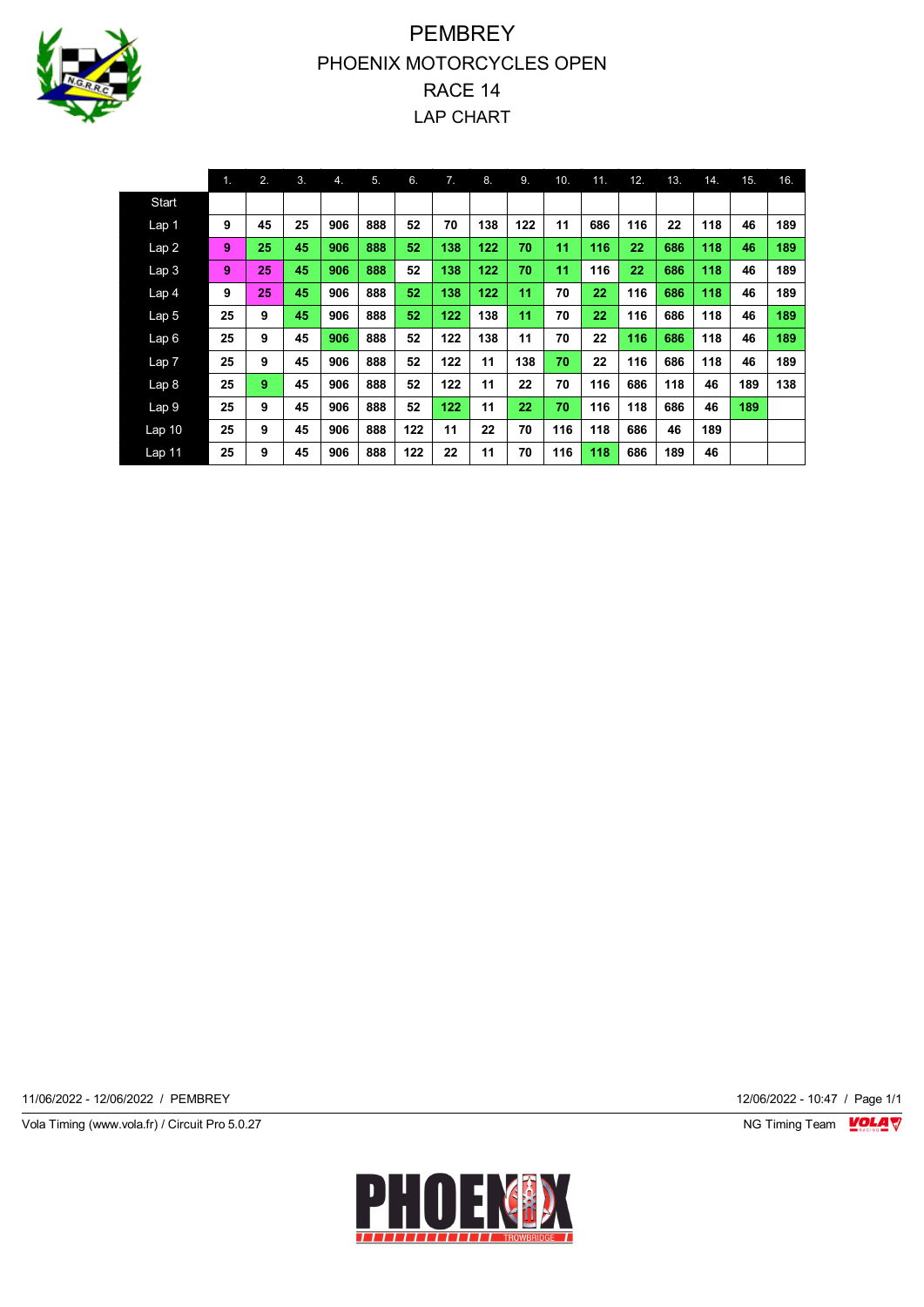

# **PEMBREY** PHOENIX MOTORCYCLES OPEN RACE 14 LAP CHART

|                   | 1. | 2. | 3. | 4.  | 5.  | 6.  | 7.  | 8.  | 9.  | 10. | 11. | 12. | 13. | 14. | 15. | 16. |
|-------------------|----|----|----|-----|-----|-----|-----|-----|-----|-----|-----|-----|-----|-----|-----|-----|
| Start             |    |    |    |     |     |     |     |     |     |     |     |     |     |     |     |     |
| Lap <sub>1</sub>  | 9  | 45 | 25 | 906 | 888 | 52  | 70  | 138 | 122 | 11  | 686 | 116 | 22  | 118 | 46  | 189 |
| Lap2              | 9  | 25 | 45 | 906 | 888 | 52  | 138 | 122 | 70  | 11  | 116 | 22  | 686 | 118 | 46  | 189 |
| Lap <sub>3</sub>  | 9  | 25 | 45 | 906 | 888 | 52  | 138 | 122 | 70  | 11  | 116 | 22  | 686 | 118 | 46  | 189 |
| Lap <sub>4</sub>  | 9  | 25 | 45 | 906 | 888 | 52  | 138 | 122 | 11  | 70  | 22  | 116 | 686 | 118 | 46  | 189 |
| Lap <sub>5</sub>  | 25 | 9  | 45 | 906 | 888 | 52  | 122 | 138 | 11  | 70  | 22  | 116 | 686 | 118 | 46  | 189 |
| Lap6              | 25 | 9  | 45 | 906 | 888 | 52  | 122 | 138 | 11  | 70  | 22  | 116 | 686 | 118 | 46  | 189 |
| Lap7              | 25 | 9  | 45 | 906 | 888 | 52  | 122 | 11  | 138 | 70  | 22  | 116 | 686 | 118 | 46  | 189 |
| Lap <sub>8</sub>  | 25 | 9  | 45 | 906 | 888 | 52  | 122 | 11  | 22  | 70  | 116 | 686 | 118 | 46  | 189 | 138 |
| Lap <sub>9</sub>  | 25 | 9  | 45 | 906 | 888 | 52  | 122 | 11  | 22  | 70  | 116 | 118 | 686 | 46  | 189 |     |
| Lap <sub>10</sub> | 25 | 9  | 45 | 906 | 888 | 122 | 11  | 22  | 70  | 116 | 118 | 686 | 46  | 189 |     |     |
| Lap <sub>11</sub> | 25 | 9  | 45 | 906 | 888 | 122 | 22  | 11  | 70  | 116 | 118 | 686 | 189 | 46  |     |     |

11/06/2022 - 12/06/2022 / PEMBREY 12/06/2022 - 10:47 / Page 1/1

Vola Timing (www.vola.fr) / Circuit Pro 5.0.27 NG Timing Team MC Timing Team MC Timing Team M

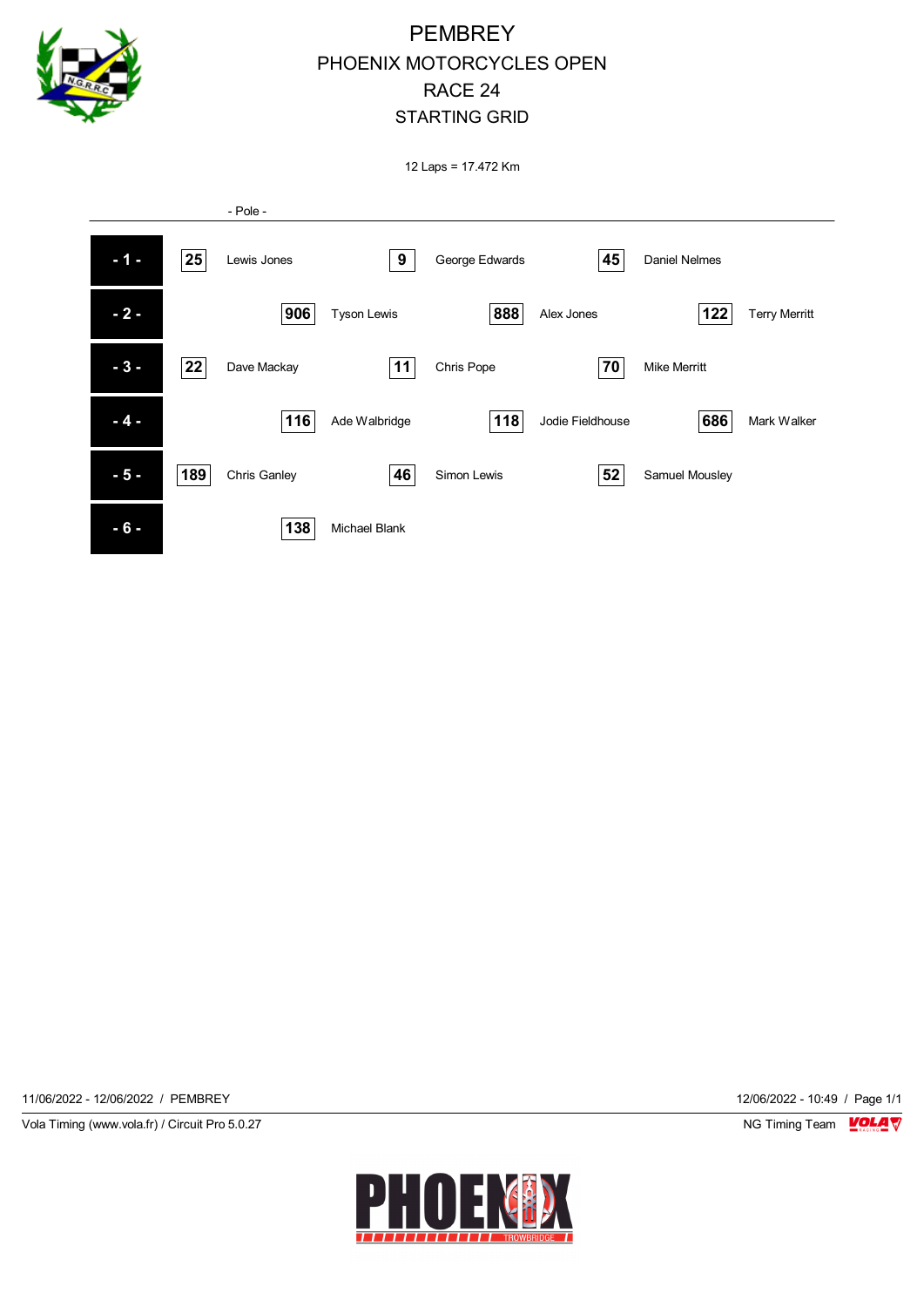

## **PEMBREY** PHOENIX MOTORCYCLES OPEN RACE 24 STARTING GRID

12 Laps = 17.472 Km



11/06/2022 - 12/06/2022 / PEMBREY 12/06/2022 - 10:49 / Page 1/1

Vola Timing (www.vola.fr) / Circuit Pro 5.0.27 NG Timing Team NG Timing Team NG Timing Team NG Timing Team NG

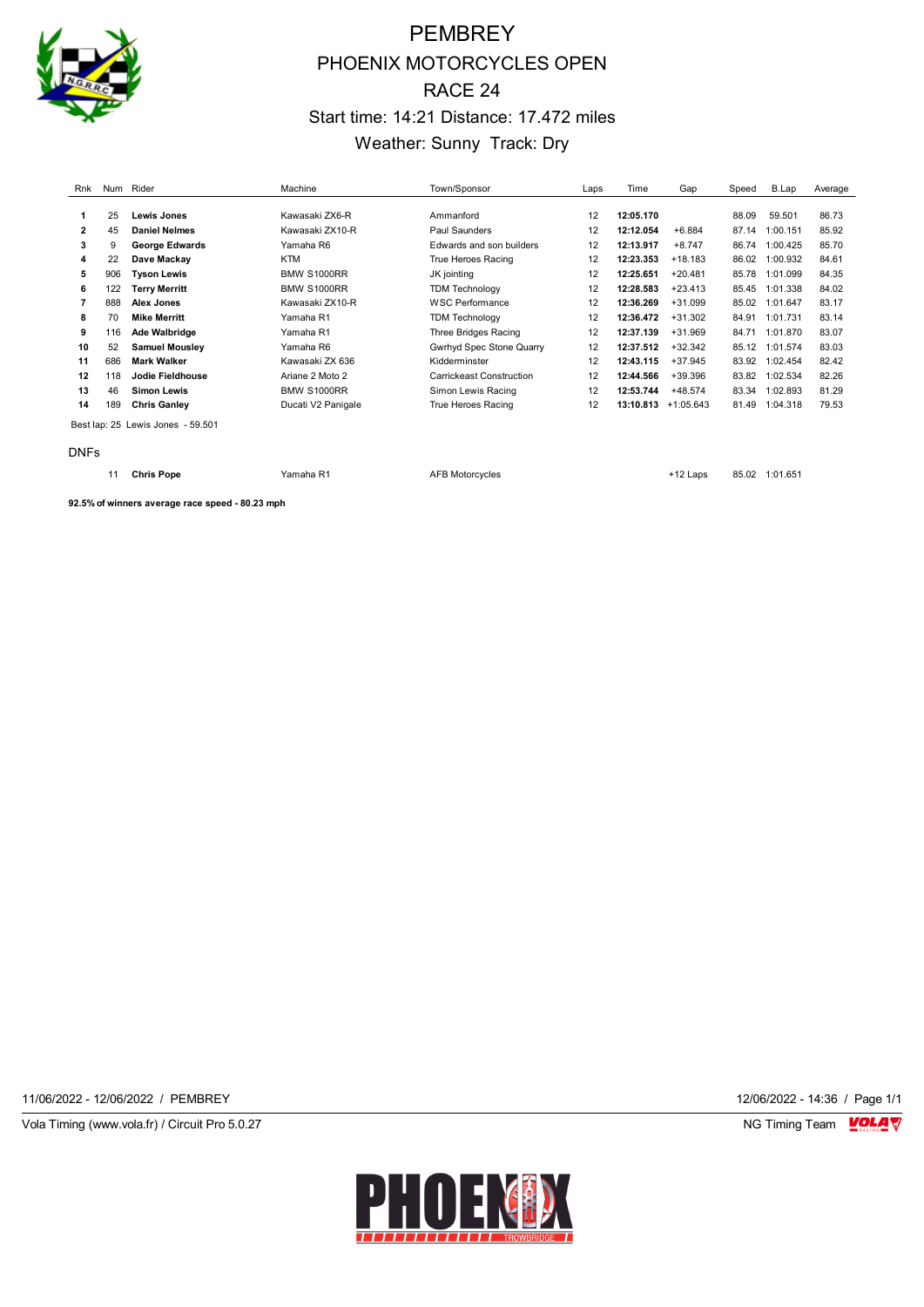

# **PEMBREY** PHOENIX MOTORCYCLES OPEN RACE 24 Start time: 14:21 Distance: 17.472 miles Weather: Sunny Track: Dry

| Rnk          |     | Num Rider             | Machine            | Town/Sponsor             | Laps | Time      | Gap         | Speed | B.Lap    | Average |
|--------------|-----|-----------------------|--------------------|--------------------------|------|-----------|-------------|-------|----------|---------|
|              |     |                       |                    |                          |      |           |             |       |          |         |
| 1            | 25  | Lewis Jones           | Kawasaki ZX6-R     | Ammanford                | 12   | 12:05.170 |             | 88.09 | 59.501   | 86.73   |
| $\mathbf{2}$ | 45  | <b>Daniel Nelmes</b>  | Kawasaki ZX10-R    | Paul Saunders            | 12   | 12:12.054 | $+6.884$    | 87.14 | 1:00.151 | 85.92   |
| 3            | 9   | <b>George Edwards</b> | Yamaha R6          | Edwards and son builders | 12   | 12:13.917 | $+8.747$    | 86.74 | 1:00.425 | 85.70   |
| 4            | 22  | Dave Mackav           | <b>KTM</b>         | True Heroes Racing       | 12   | 12:23.353 | $+18.183$   | 86.02 | 1:00.932 | 84.61   |
| 5            | 906 | <b>Tyson Lewis</b>    | <b>BMW S1000RR</b> | JK jointing              | 12   | 12:25.651 | $+20.481$   | 85.78 | 1:01.099 | 84.35   |
| 6            | 122 | Terry Merritt         | <b>BMW S1000RR</b> | <b>TDM Technology</b>    | 12   | 12:28.583 | $+23.413$   | 85.45 | 1:01.338 | 84.02   |
| 7            | 888 | Alex Jones            | Kawasaki ZX10-R    | WSC Performance          | 12   | 12:36.269 | $+31.099$   | 85.02 | 1:01.647 | 83.17   |
| 8            | 70  | <b>Mike Merritt</b>   | Yamaha R1          | <b>TDM Technology</b>    | 12   | 12:36.472 | $+31.302$   | 84.91 | 1:01.731 | 83.14   |
| 9            | 116 | Ade Walbridge         | Yamaha R1          | Three Bridges Racing     | 12   | 12:37.139 | $+31.969$   | 84.71 | 1:01.870 | 83.07   |
| 10           | 52  | <b>Samuel Mousley</b> | Yamaha R6          | Gwrhyd Spec Stone Quarry | 12   | 12:37.512 | $+32.342$   | 85.12 | 1:01.574 | 83.03   |
| 11           | 686 | <b>Mark Walker</b>    | Kawasaki ZX 636    | Kidderminster            | 12   | 12:43.115 | +37.945     | 83.92 | 1:02.454 | 82.42   |
| 12           | 118 | Jodie Fieldhouse      | Ariane 2 Moto 2    | Carrickeast Construction | 12   | 12:44.566 | +39.396     | 83.82 | 1:02.534 | 82.26   |
| 13           | 46  | <b>Simon Lewis</b>    | <b>BMW S1000RR</b> | Simon Lewis Racing       | 12   | 12:53.744 | $+48.574$   | 83.34 | 1:02.893 | 81.29   |
| 14           | 189 | <b>Chris Ganley</b>   | Ducati V2 Panigale | True Heroes Racing       | 12   | 13:10.813 | $+1:05.643$ | 81.49 | 1:04.318 | 79.53   |

Best lap: 25 Lewis Jones - 59.501

DNFs

11 **Chris Pope** Yamaha R1 AFB Motorcycles +12 Laps 85.02 1:01.651

**92.5% of winners average race speed - 80.23 mph**

11/06/2022 - 12/06/2022 / PEMBREY 12/06/2022 - 14:36 / Page 1/1

Vola Timing (www.vola.fr) / Circuit Pro 5.0.27 **NG Timing Team** Vola Timing Team VOLA V

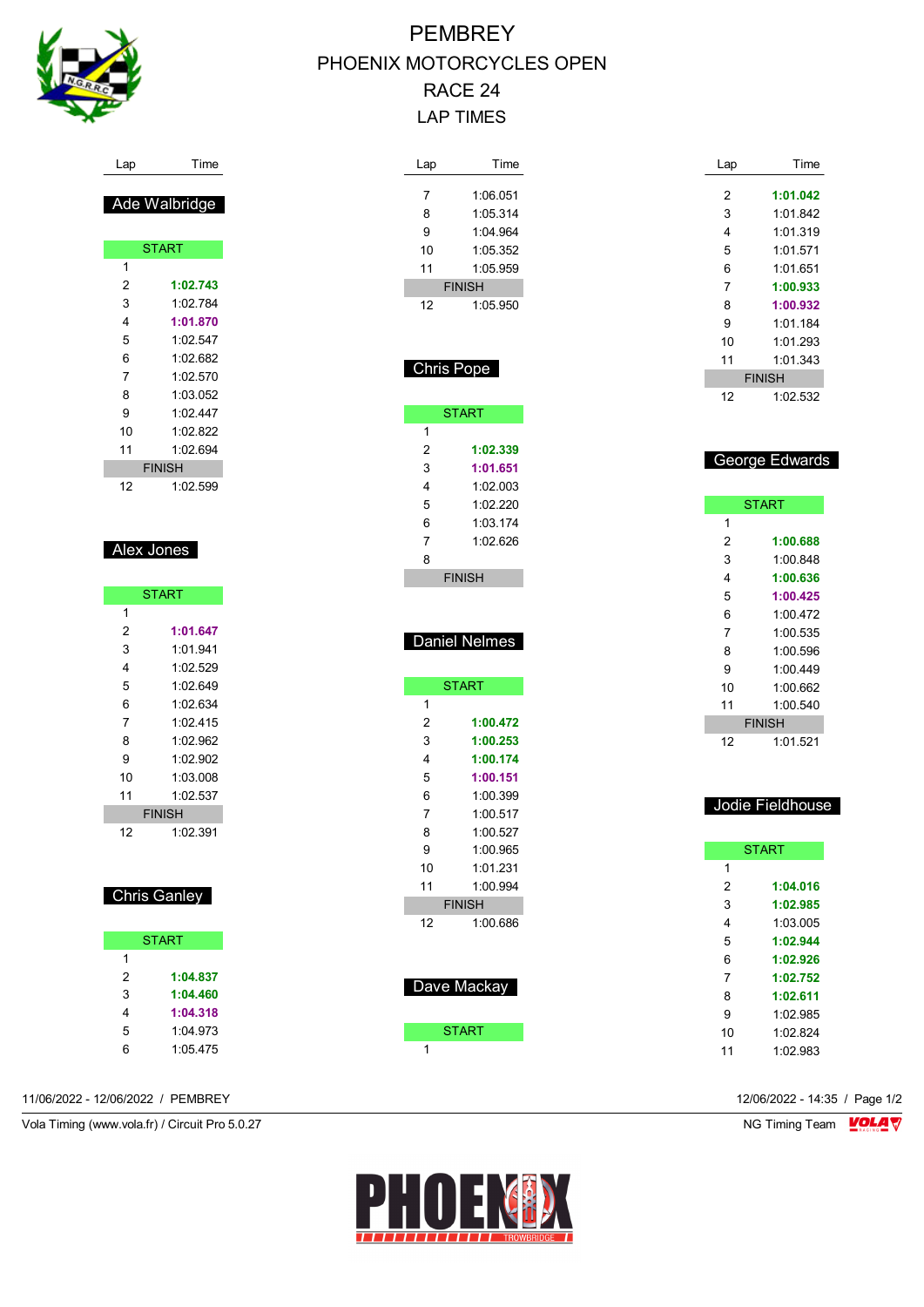

#### Lap Time

### Ade Walbridge

|    | <b>START</b>  |  |  |  |  |  |  |  |
|----|---------------|--|--|--|--|--|--|--|
| 1  |               |  |  |  |  |  |  |  |
| 2  | 1:02.743      |  |  |  |  |  |  |  |
| 3  | 1:02.784      |  |  |  |  |  |  |  |
| 4  | 1:01.870      |  |  |  |  |  |  |  |
| 5  | 1:02.547      |  |  |  |  |  |  |  |
| 6  | 1:02.682      |  |  |  |  |  |  |  |
| 7  | 1:02.570      |  |  |  |  |  |  |  |
| 8  | 1:03.052      |  |  |  |  |  |  |  |
| 9  | 1.02 447      |  |  |  |  |  |  |  |
| 10 | 1:02.822      |  |  |  |  |  |  |  |
| 11 | 1:02.694      |  |  |  |  |  |  |  |
|    | <b>FINISH</b> |  |  |  |  |  |  |  |
| 12 | 1:02.599      |  |  |  |  |  |  |  |

#### Alex Jones

| <b>START</b> |               |  |  |  |  |  |
|--------------|---------------|--|--|--|--|--|
| 1            |               |  |  |  |  |  |
| 2            | 1:01.647      |  |  |  |  |  |
| 3            | 1:01.941      |  |  |  |  |  |
| 4            | 1:02.529      |  |  |  |  |  |
| 5            | 1:02.649      |  |  |  |  |  |
| 6            | 1:02 634      |  |  |  |  |  |
| 7            | 1:02 415      |  |  |  |  |  |
| 8            | 1.02.962      |  |  |  |  |  |
| 9            | 1:02.902      |  |  |  |  |  |
| 10           | 1:03.008      |  |  |  |  |  |
| 11           | 1:02 537      |  |  |  |  |  |
|              | <b>FINISH</b> |  |  |  |  |  |
| 12           | 1:02.391      |  |  |  |  |  |

### Chris Ganley

|   | <b>START</b> |
|---|--------------|
| 1 |              |
| 2 | 1:04.837     |
| 3 | 1:04.460     |
| 4 | 1:04.318     |
| 5 | 1.04.973     |
| հ | 1:05.475     |

11/06/2022 - 12/06/2022 / PEMBREY 12/06/2022 - 14:35 / Page 1/2

Vola Timing (www.vola.fr) / Circuit Pro 5.0.27 NG Timing Team MC Timing Team MC Timing Team M

# PEMBREY PHOENIX MOTORCYCLES OPEN RACE 24 LAP TIMES

| Lap               | Time                 |
|-------------------|----------------------|
| 7                 | 1:06.051             |
| 8                 | 1:05.314             |
| 9                 | 1:04.964             |
| 10                | 1:05.352             |
| 11                | 1:05.959             |
|                   | <b>FINISH</b>        |
| 12                | 1:05.950             |
| <b>Chris Pope</b> |                      |
|                   |                      |
|                   | <b>START</b>         |
| 1                 |                      |
| 2                 | 1:02.339             |
| 3                 | 1:01.651             |
| 4<br>5            | 1:02.003<br>1:02.220 |
| 6                 | 1:03.174             |
| 7                 | 1:02.626             |
| 8                 |                      |
|                   | <b>FINISH</b>        |
|                   |                      |
|                   |                      |
|                   |                      |
|                   | <b>Daniel Nelmes</b> |
|                   | <b>START</b>         |
| 1                 |                      |
| 2                 | 1:00.472             |
| 3                 | 1:00.253             |
| 4                 | 1:00.174             |
| 5                 | 1:00.151             |
| 6<br>7            | 1:00.399             |
| 8                 | 1:00.517<br>1:00.527 |
| 9                 | 1:00.965             |
| 10                | 1:01.231             |
| 11                | 1:00.994             |
|                   | <b>FINISH</b>        |
| 12                | 1:00.686             |
|                   |                      |
|                   |                      |
|                   | Dave Mackay          |
|                   | <b>START</b>         |

| Lap | Time          |
|-----|---------------|
|     |               |
| 2   | 1:01.042      |
| 3   | 1:01 842      |
| 4   | 1:01.319      |
| 5   | 1:01.571      |
| 6   | 1:01.651      |
| 7   | 1:00.933      |
| 8   | 1:00.932      |
| 9   | 1:01.184      |
| 10  | 1:01 293      |
| 11  | 1.01.343      |
|     | <b>FINISH</b> |
| 12  | 1:02.532      |
|     |               |

### George Edwards

| <b>START</b> |               |
|--------------|---------------|
| 1            |               |
| 2            | 1:00.688      |
| 3            | 1:00.848      |
| 4            | 1:00.636      |
| 5            | 1:00.425      |
| 6            | 1:00472       |
| 7            | 1:00.535      |
| 8            | 1:00.596      |
| 9            | 1.00449       |
| 10           | 1:00.662      |
| 11           | 1:00.540      |
|              | <b>FINISH</b> |
| 12           | 1:01.521      |

#### Jodie Fieldhouse

| <b>START</b> |          |
|--------------|----------|
| 1            |          |
| 2            | 1:04.016 |
| 3            | 1:02.985 |
| 4            | 1:03:005 |
| 5            | 1:02.944 |
| 6            | 1:02.926 |
| 7            | 1:02.752 |
| 8            | 1:02.611 |
| 9            | 1:02.985 |
| 10           | 1.02824  |
| 11           | 1:02.983 |
|              |          |

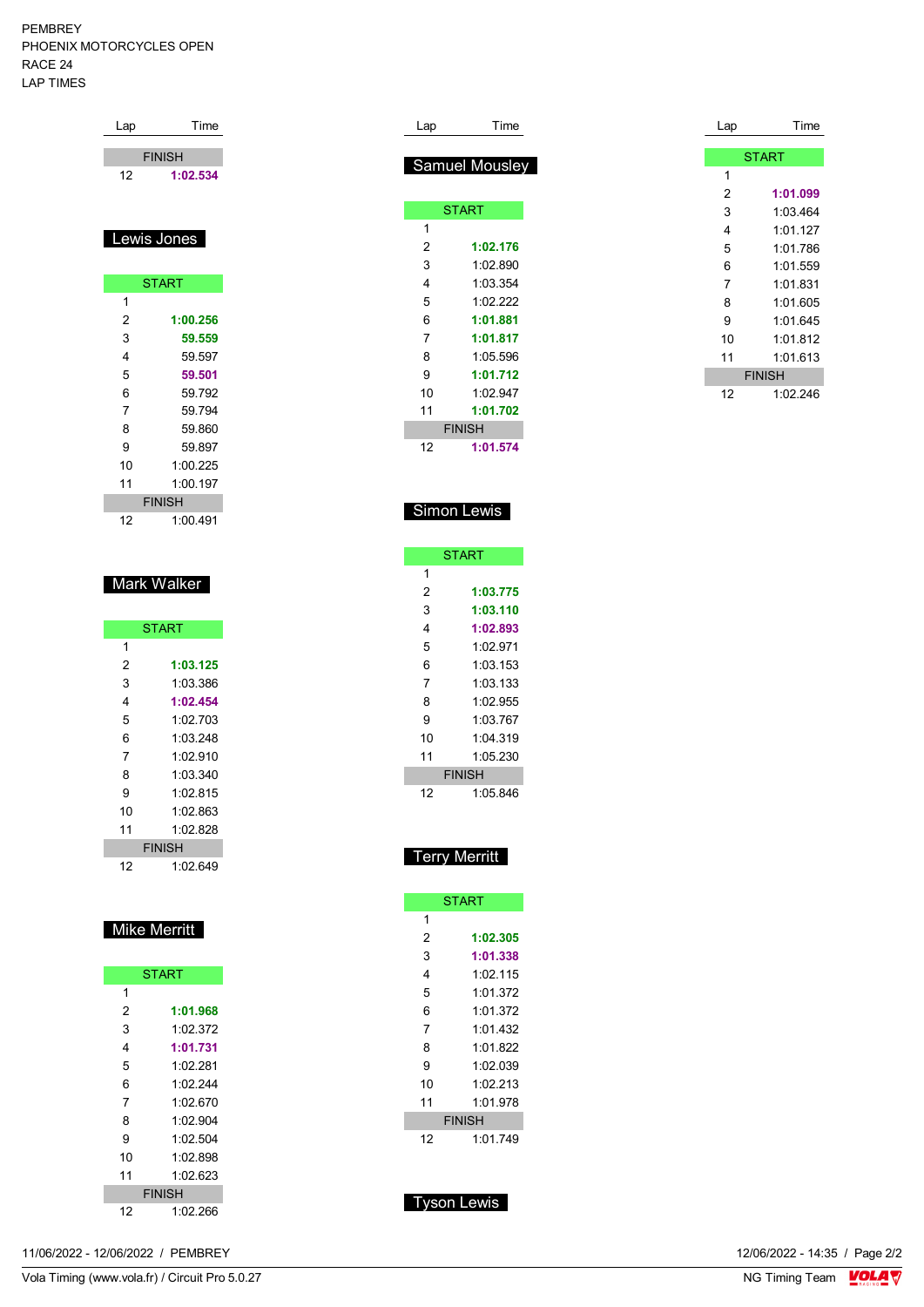PEMBREY PHOENIX MOTORCYCLES OPEN RACE 24 LAP TIMES

| Lap         | Time          |
|-------------|---------------|
|             | <b>FINISH</b> |
| 12          | 1:02.534      |
|             |               |
| Lewis Jones |               |
|             | <b>START</b>  |
|             |               |

| 2             | 1:00.256 |  |
|---------------|----------|--|
| 3             | 59.559   |  |
| 4             | 59.597   |  |
| 5             | 59.501   |  |
| 6             | 59.792   |  |
| 7             | 59.794   |  |
| 8             | 59 860   |  |
| 9             | 59 897   |  |
| 10            | 1:00 225 |  |
| 11            | 1:00.197 |  |
| <b>FINISH</b> |          |  |
| 12            | 1:00.491 |  |

### Mark Walker

| <b>START</b> |               |  |
|--------------|---------------|--|
| 1            |               |  |
| 2            | 1:03.125      |  |
| 3            | 1:03.386      |  |
| 4            | 1:02.454      |  |
| 5            | 1:02 703      |  |
| 6            | 1:03.248      |  |
| 7            | 1:02.910      |  |
| 8            | 1:03.340      |  |
| 9            | 1:02.815      |  |
| 10           | 1:02.863      |  |
| 11           | 1.02.828      |  |
|              | <b>FINISH</b> |  |
| 12           | 1:02.649      |  |

## Mike Merritt

| <b>START</b> |          |
|--------------|----------|
| 1            |          |
| 2            | 1:01.968 |
| 3            | 1.02.372 |
| 4            | 1:01.731 |
| 5            | 1:02.281 |
| 6            | 1.02.244 |
| 7            | 1:02.670 |
| 8            | 1:02.904 |
| 9            | 1:02.504 |
| 10           | 1:02.898 |
| 11           | 1.02.623 |
| FINISH       |          |
| 12           | 1:02.266 |

| Lap            | Time           |
|----------------|----------------|
|                |                |
|                | Samuel Mousley |
|                |                |
|                | <b>START</b>   |
| 1              |                |
| 2              | 1:02.176       |
| 3              | 1:02.890       |
| 4              | 1:03.354       |
| 5              | 1:02.222       |
| 6              | 1:01.881       |
| $\overline{7}$ | 1:01.817       |
| 8              | 1:05.596       |
| 9              | 1:01.712       |
| 10             | 1:02.947       |
| 11             | 1:01.702       |
|                | <b>FINISH</b>  |
| 12             | 1:01.574       |

| Lap | Time          |
|-----|---------------|
|     |               |
|     | <b>START</b>  |
| 1   |               |
| 2   | 1:01.099      |
| 3   | 1:03.464      |
| 4   | 1:01.127      |
| 5   | 1:01.786      |
| 6   | 1:01.559      |
| 7   | 1:01.831      |
| 8   | 1:01.605      |
| 9   | 1:01.645      |
| 10  | 1:01.812      |
| 11  | 1:01.613      |
|     | <b>FINISH</b> |
| 12  | 1:02.246      |

### Simon Lewis

| <b>START</b>  |          |
|---------------|----------|
| 1             |          |
| 2             | 1:03.775 |
| 3             | 1:03.110 |
| 4             | 1:02.893 |
| 5             | 1:02.971 |
| 6             | 1:03.153 |
| 7             | 1:03.133 |
| 8             | 1:02.955 |
| 9             | 1:03 767 |
| 10            | 1.04.319 |
| 11            | 1:05.230 |
| <b>FINISH</b> |          |
| 12            | 1:05.846 |

### Terry Merritt

| <b>START</b>  |          |  |
|---------------|----------|--|
| 1             |          |  |
| 2             | 1:02.305 |  |
| 3             | 1:01.338 |  |
| 4             | 1:02.115 |  |
| 5             | 1:01.372 |  |
| 6             | 1:01.372 |  |
| 7             | 1 01 432 |  |
| 8             | 1:01.822 |  |
| 9             | 1:02.039 |  |
| 10            | 1:02.213 |  |
| 11            | 1:01.978 |  |
| <b>FINISH</b> |          |  |
| 12            | 1:01 749 |  |

## Tyson Lewis

11/06/2022 - 12/06/2022 / PEMBREY

Vola Timing (www.vola.fr) / Circuit Pro 5.0.27

12/06/2022 - 14:35 / Page 2/2<br>NG Timing Team  $\frac{\text{VOLA}}{\text{V}}$